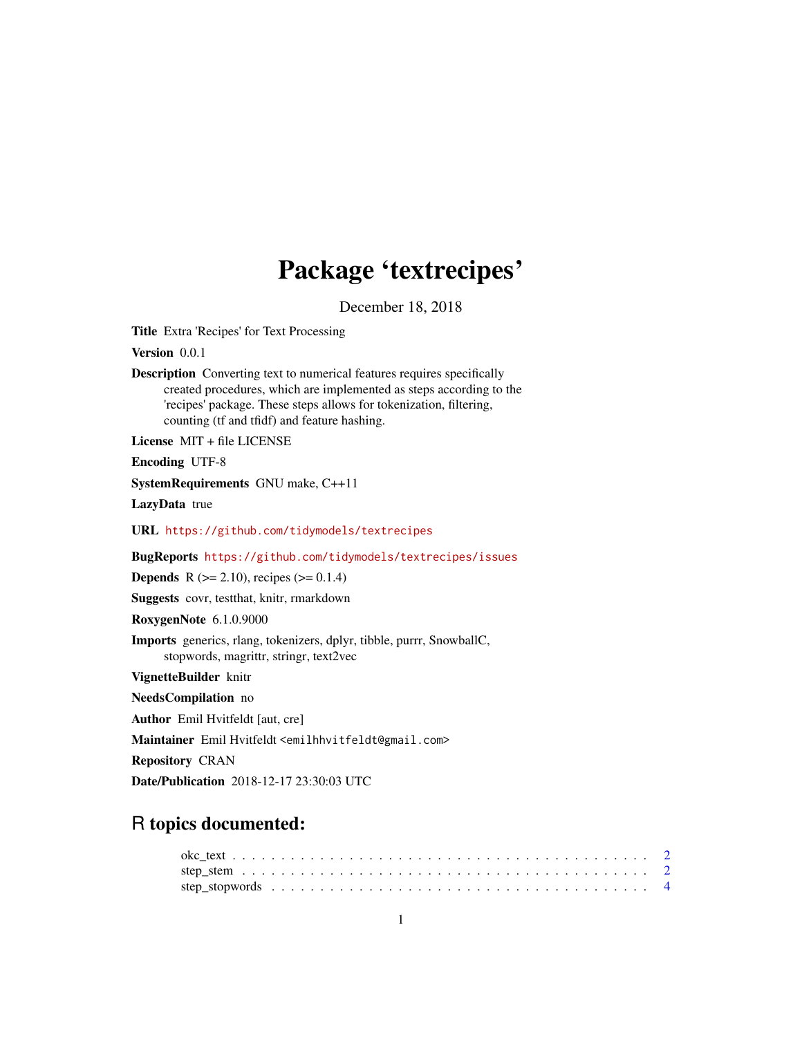# Package 'textrecipes'

December 18, 2018

Title Extra 'Recipes' for Text Processing

Version 0.0.1

Description Converting text to numerical features requires specifically created procedures, which are implemented as steps according to the 'recipes' package. These steps allows for tokenization, filtering, counting (tf and tfidf) and feature hashing.

License MIT + file LICENSE

Encoding UTF-8

SystemRequirements GNU make, C++11

LazyData true

URL <https://github.com/tidymodels/textrecipes>

BugReports <https://github.com/tidymodels/textrecipes/issues>

**Depends** R ( $>= 2.10$ ), recipes ( $>= 0.1.4$ )

Suggests covr, testthat, knitr, rmarkdown

RoxygenNote 6.1.0.9000

Imports generics, rlang, tokenizers, dplyr, tibble, purrr, SnowballC, stopwords, magrittr, stringr, text2vec

VignetteBuilder knitr

NeedsCompilation no

Author Emil Hvitfeldt [aut, cre]

Maintainer Emil Hvitfeldt <emilhhvitfeldt@gmail.com>

Repository CRAN

Date/Publication 2018-12-17 23:30:03 UTC

# R topics documented: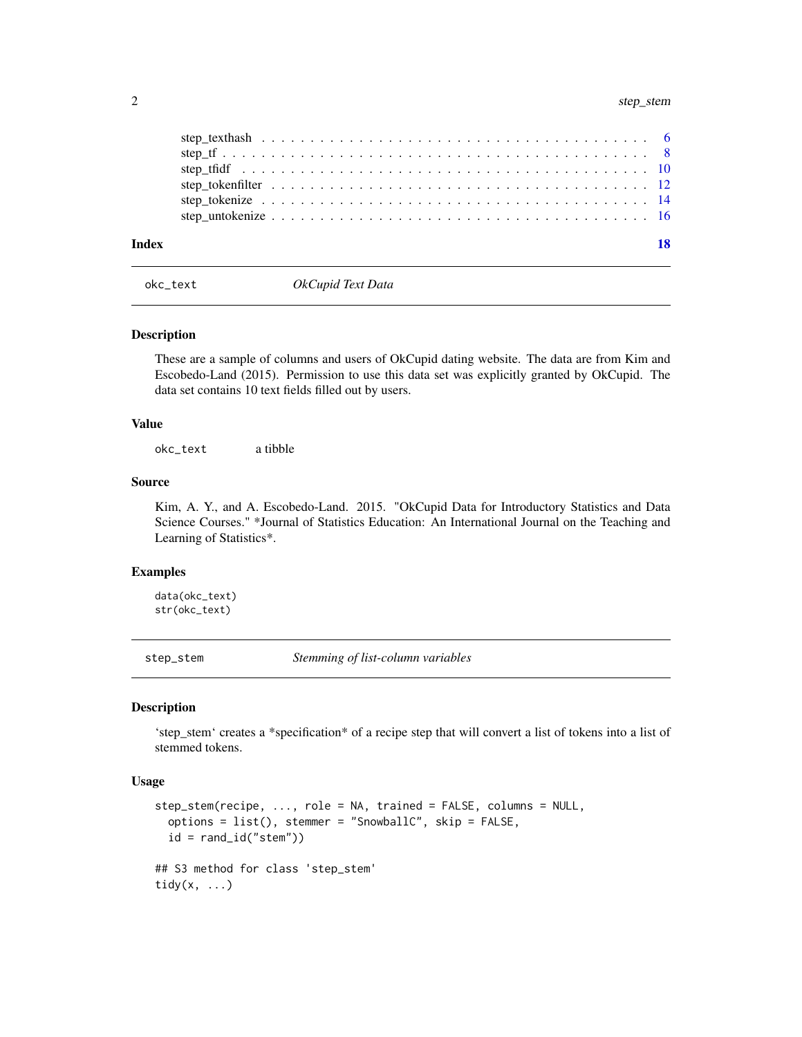<span id="page-1-0"></span>

| Index |  |
|-------|--|
|       |  |
|       |  |
|       |  |
|       |  |
|       |  |
|       |  |

okc\_text *OkCupid Text Data*

#### Description

These are a sample of columns and users of OkCupid dating website. The data are from Kim and Escobedo-Land (2015). Permission to use this data set was explicitly granted by OkCupid. The data set contains 10 text fields filled out by users.

#### Value

okc\_text a tibble

#### Source

Kim, A. Y., and A. Escobedo-Land. 2015. "OkCupid Data for Introductory Statistics and Data Science Courses." \*Journal of Statistics Education: An International Journal on the Teaching and Learning of Statistics\*.

#### Examples

data(okc\_text) str(okc\_text)

step\_stem *Stemming of list-column variables*

#### Description

'step\_stem' creates a \*specification\* of a recipe step that will convert a list of tokens into a list of stemmed tokens.

# Usage

```
step_stem(recipe, ..., role = NA, trained = FALSE, columns = NULL,
 options = list(), stemmer = "SnowballC", skip = FALSE,
 id = rand_id("stem"))
## S3 method for class 'step_stem'
tidy(x, ...)
```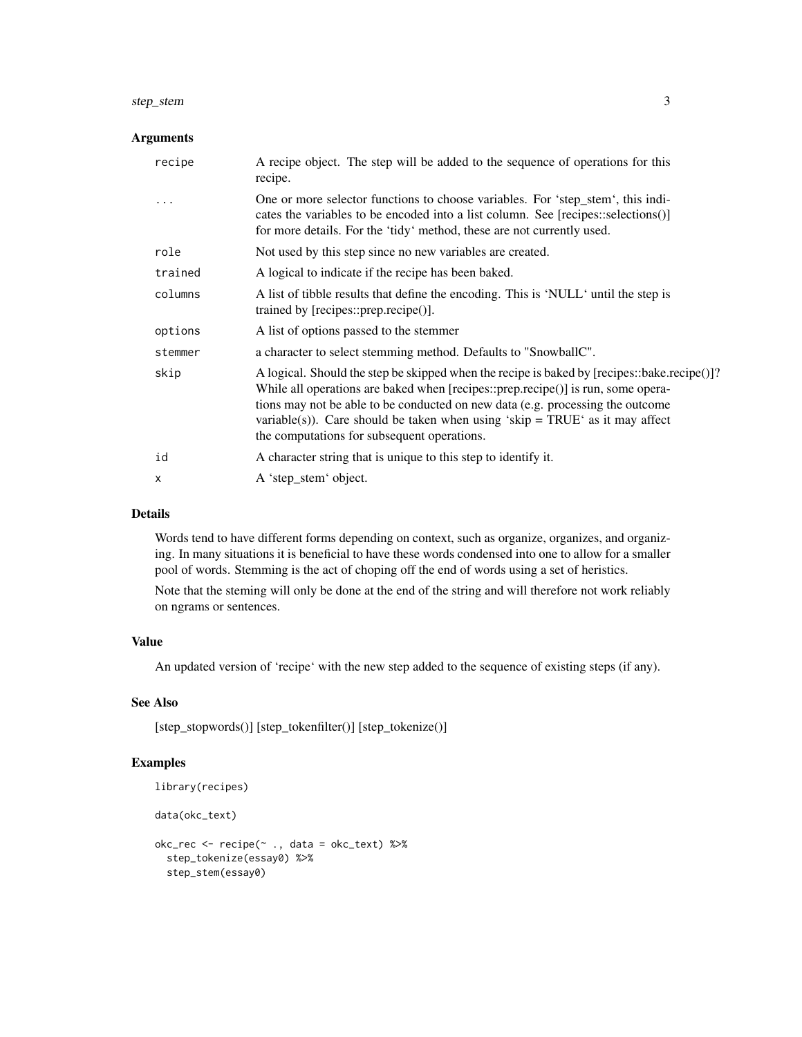#### step\_stem 3

# Arguments

| recipe  | A recipe object. The step will be added to the sequence of operations for this<br>recipe.                                                                                                                                                                                                                                                                                                        |
|---------|--------------------------------------------------------------------------------------------------------------------------------------------------------------------------------------------------------------------------------------------------------------------------------------------------------------------------------------------------------------------------------------------------|
|         | One or more selector functions to choose variables. For 'step_stem', this indi-<br>cates the variables to be encoded into a list column. See [recipes::selections()]<br>for more details. For the 'tidy' method, these are not currently used.                                                                                                                                                   |
| role    | Not used by this step since no new variables are created.                                                                                                                                                                                                                                                                                                                                        |
| trained | A logical to indicate if the recipe has been baked.                                                                                                                                                                                                                                                                                                                                              |
| columns | A list of tibble results that define the encoding. This is 'NULL' until the step is<br>trained by $[recipes::prep.recipe$ <sup><math>()</math>]</sup> .                                                                                                                                                                                                                                          |
| options | A list of options passed to the stemmer                                                                                                                                                                                                                                                                                                                                                          |
| stemmer | a character to select stemming method. Defaults to "SnowballC".                                                                                                                                                                                                                                                                                                                                  |
| skip    | A logical. Should the step be skipped when the recipe is baked by [recipes::bake.recipe()]?<br>While all operations are baked when [recipes::prep.recipe()] is run, some opera-<br>tions may not be able to be conducted on new data (e.g. processing the outcome<br>variable(s)). Care should be taken when using 'skip = TRUE' as it may affect<br>the computations for subsequent operations. |
| id      | A character string that is unique to this step to identify it.                                                                                                                                                                                                                                                                                                                                   |
| X       | A 'step_stem' object.                                                                                                                                                                                                                                                                                                                                                                            |

# Details

Words tend to have different forms depending on context, such as organize, organizes, and organizing. In many situations it is beneficial to have these words condensed into one to allow for a smaller pool of words. Stemming is the act of choping off the end of words using a set of heristics.

Note that the steming will only be done at the end of the string and will therefore not work reliably on ngrams or sentences.

# Value

An updated version of 'recipe' with the new step added to the sequence of existing steps (if any).

# See Also

[step\_stopwords()] [step\_tokenfilter()] [step\_tokenize()]

```
library(recipes)
data(okc_text)
okc_rec <- recipe(~ ., data = okc_text) %>%
  step_tokenize(essay0) %>%
  step_stem(essay0)
```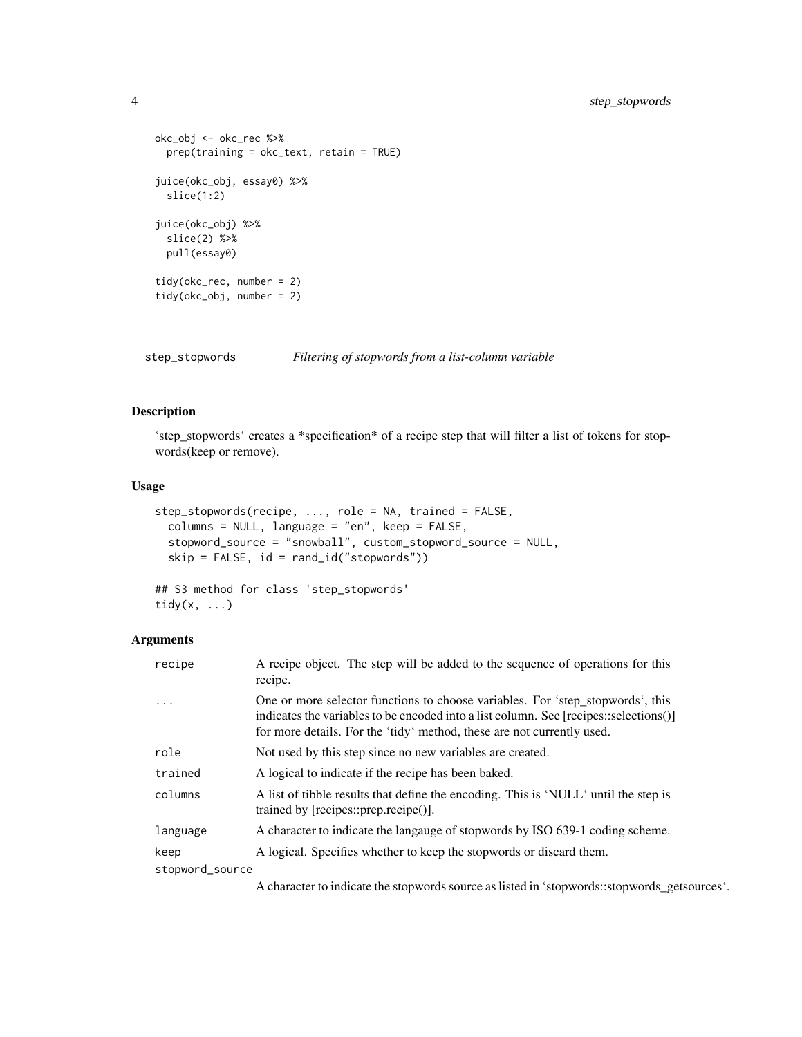```
okc_obj <- okc_rec %>%
  prep(training = okc_text, retain = TRUE)
juice(okc_obj, essay0) %>%
  slice(1:2)
juice(okc_obj) %>%
  slice(2) %>%
  pull(essay0)
tidy(okc_rec, number = 2)
tidy(okc_obj, number = 2)
```
step\_stopwords *Filtering of stopwords from a list-column variable*

# Description

'step\_stopwords' creates a \*specification\* of a recipe step that will filter a list of tokens for stopwords(keep or remove).

#### Usage

```
step_stopwords(recipe, ..., role = NA, trained = FALSE,
 columns = NULL, language = "en", keep = FALSE,
  stopword_source = "snowball", custom_stopword_source = NULL,
 skip = FALSE, id = rand_id("stopwords"))
## S3 method for class 'step_stopwords'
```

```
tidy(x, \ldots)
```
# Arguments

| recipe          | A recipe object. The step will be added to the sequence of operations for this<br>recipe.                                                                                                                                                         |
|-----------------|---------------------------------------------------------------------------------------------------------------------------------------------------------------------------------------------------------------------------------------------------|
| $\cdots$        | One or more selector functions to choose variables. For 'step_stopwords', this<br>indicates the variables to be encoded into a list column. See [recipes::selections()]<br>for more details. For the 'tidy' method, these are not currently used. |
| role            | Not used by this step since no new variables are created.                                                                                                                                                                                         |
| trained         | A logical to indicate if the recipe has been baked.                                                                                                                                                                                               |
| columns         | A list of tibble results that define the encoding. This is 'NULL' until the step is<br>trained by $[recipes::prep.recipe$ <sup><math>()</math>]</sup> .                                                                                           |
| language        | A character to indicate the langauge of stopwords by ISO 639-1 coding scheme.                                                                                                                                                                     |
| keep            | A logical. Specifies whether to keep the stopwords or discard them.                                                                                                                                                                               |
| stopword_source |                                                                                                                                                                                                                                                   |

A character to indicate the stopwords source as listed in 'stopwords::stopwords\_getsources'.

<span id="page-3-0"></span>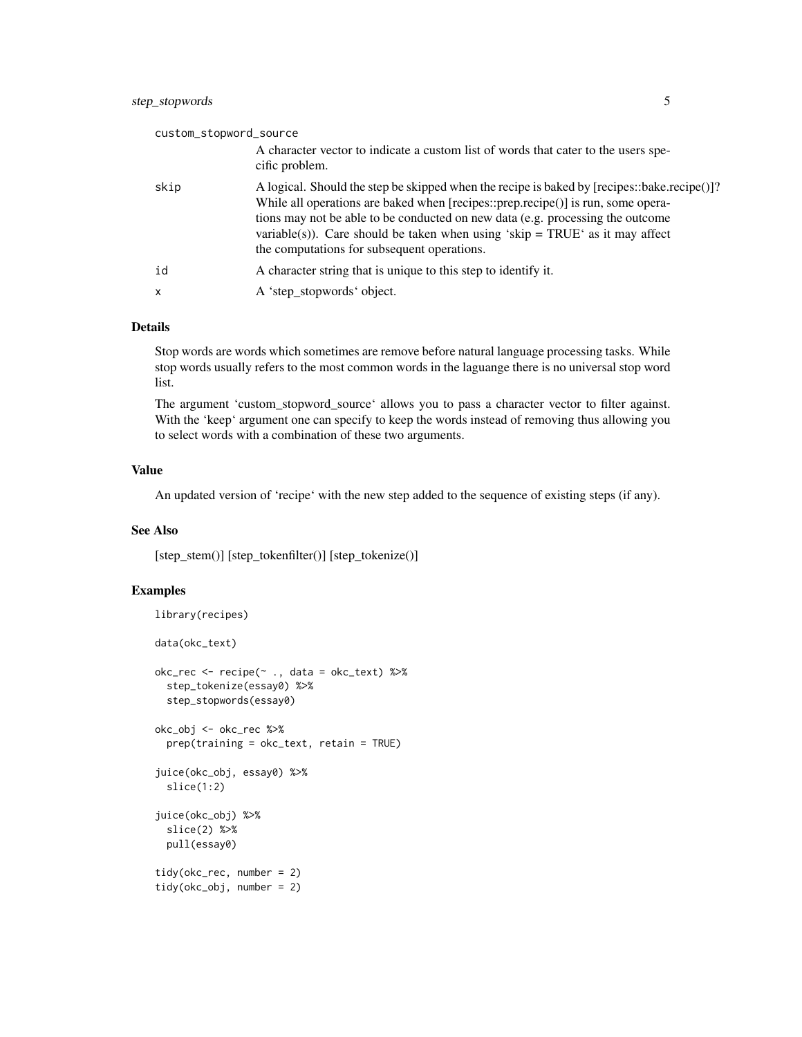# custom\_stopword\_source A character vector to indicate a custom list of words that cater to the users specific problem. skip A logical. Should the step be skipped when the recipe is baked by [recipes::bake.recipe()]? While all operations are baked when [recipes::prep.recipe()] is run, some operations may not be able to be conducted on new data (e.g. processing the outcome variable(s)). Care should be taken when using 'skip =  $TRUE$ ' as it may affect the computations for subsequent operations. id A character string that is unique to this step to identify it. x A 'step\_stopwords' object.

#### Details

Stop words are words which sometimes are remove before natural language processing tasks. While stop words usually refers to the most common words in the laguange there is no universal stop word list.

The argument 'custom\_stopword\_source' allows you to pass a character vector to filter against. With the 'keep' argument one can specify to keep the words instead of removing thus allowing you to select words with a combination of these two arguments.

#### Value

An updated version of 'recipe' with the new step added to the sequence of existing steps (if any).

#### See Also

[step\_stem()] [step\_tokenfilter()] [step\_tokenize()]

```
library(recipes)
data(okc_text)
okc_{rec} < - recipe(~ ., data = okc_{text}) %>%
 step_tokenize(essay0) %>%
 step_stopwords(essay0)
okc_obj <- okc_rec %>%
 prep(training = okc_text, retain = TRUE)
juice(okc_obj, essay0) %>%
 slice(1:2)
juice(okc_obj) %>%
 slice(2) %>%
 pull(essay0)
tidy(okc_rec, number = 2)
tidy(okc_obj, number = 2)
```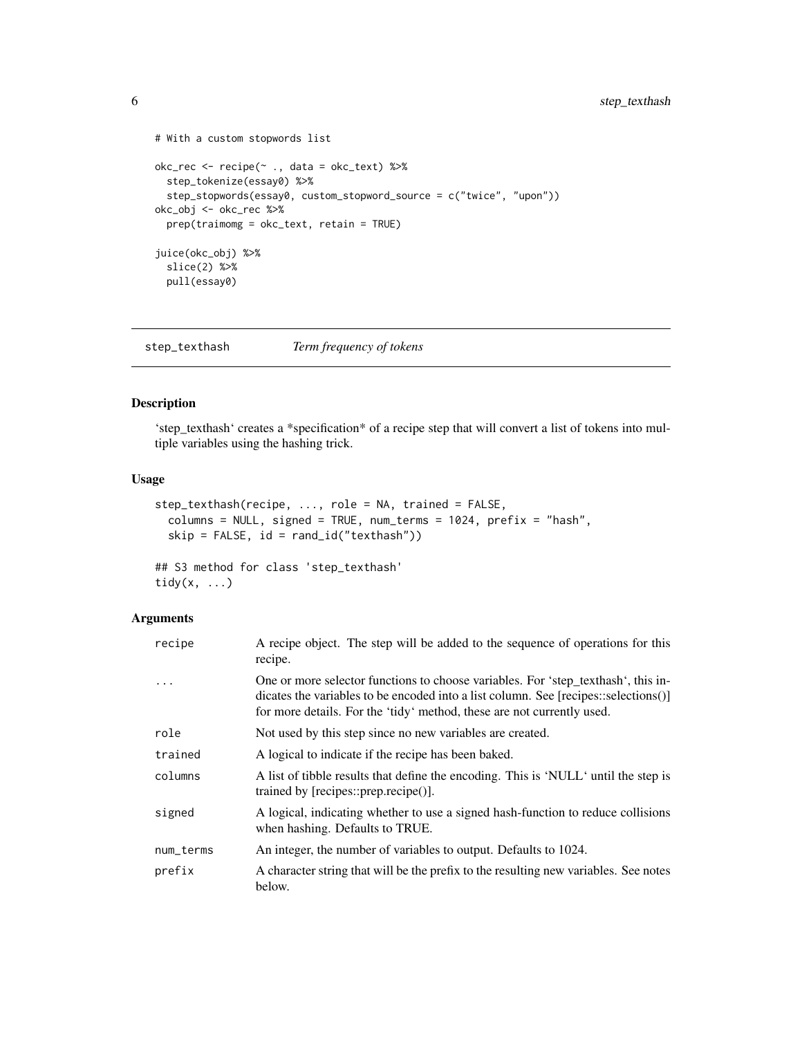```
# With a custom stopwords list
okc_rec <- recipe(~ ., data = okc_text) %>%
 step_tokenize(essay0) %>%
  step_stopwords(essay0, custom_stopword_source = c("twice", "upon"))
okc_obj <- okc_rec %>%
  prep(traimomg = okc_text, retain = TRUE)
juice(okc_obj) %>%
  slice(2) %>%
  pull(essay0)
```
step\_texthash *Term frequency of tokens*

# Description

'step\_texthash' creates a \*specification\* of a recipe step that will convert a list of tokens into multiple variables using the hashing trick.

#### Usage

```
step_texthash(recipe, ..., role = NA, trained = FALSE,
  columns = NULL, signed = TRUE, num_terms = 1024, prefix = "hash",
  skip = FALSE, id = rand_id("texthash"))
```
## S3 method for class 'step\_texthash' tidy $(x, \ldots)$ 

| recipe    | A recipe object. The step will be added to the sequence of operations for this<br>recipe.                                                                                                                                                          |
|-----------|----------------------------------------------------------------------------------------------------------------------------------------------------------------------------------------------------------------------------------------------------|
| .         | One or more selector functions to choose variables. For 'step_texthash', this in-<br>dicates the variables to be encoded into a list column. See [recipes::selections()]<br>for more details. For the 'tidy' method, these are not currently used. |
| role      | Not used by this step since no new variables are created.                                                                                                                                                                                          |
| trained   | A logical to indicate if the recipe has been baked.                                                                                                                                                                                                |
| columns   | A list of tibble results that define the encoding. This is 'NULL' until the step is<br>trained by $[recipes::prep.recipe$ <sup><math>()</math>]</sup> .                                                                                            |
| signed    | A logical, indicating whether to use a signed hash-function to reduce collisions<br>when hashing. Defaults to TRUE.                                                                                                                                |
| num_terms | An integer, the number of variables to output. Defaults to 1024.                                                                                                                                                                                   |
| prefix    | A character string that will be the prefix to the resulting new variables. See notes<br>below.                                                                                                                                                     |

<span id="page-5-0"></span>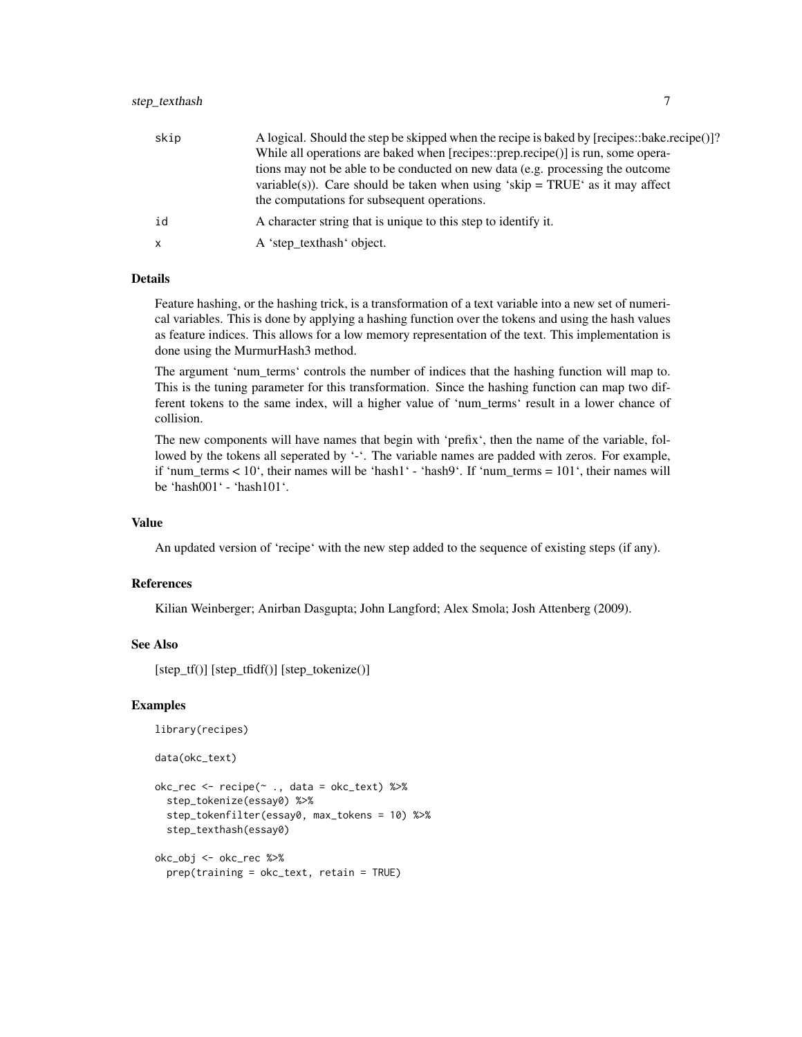| skip         | A logical. Should the step be skipped when the recipe is baked by [recipes::bake.recipe()]?<br>While all operations are baked when [recipes::prep.recipe()] is run, some opera-<br>tions may not be able to be conducted on new data (e.g. processing the outcome |
|--------------|-------------------------------------------------------------------------------------------------------------------------------------------------------------------------------------------------------------------------------------------------------------------|
|              | variable(s)). Care should be taken when using 'skip = $TRUE'$ as it may affect<br>the computations for subsequent operations.                                                                                                                                     |
| id           | A character string that is unique to this step to identify it.                                                                                                                                                                                                    |
| $\mathsf{x}$ | A 'step_texthash' object.                                                                                                                                                                                                                                         |

Feature hashing, or the hashing trick, is a transformation of a text variable into a new set of numerical variables. This is done by applying a hashing function over the tokens and using the hash values as feature indices. This allows for a low memory representation of the text. This implementation is done using the MurmurHash3 method.

The argument 'num\_terms' controls the number of indices that the hashing function will map to. This is the tuning parameter for this transformation. Since the hashing function can map two different tokens to the same index, will a higher value of 'num\_terms' result in a lower chance of collision.

The new components will have names that begin with 'prefix', then the name of the variable, followed by the tokens all seperated by '-'. The variable names are padded with zeros. For example, if 'num\_terms  $< 10$ ', their names will be 'hash1' - 'hash9'. If 'num\_terms =  $101$ ', their names will be 'hash001' - 'hash101'.

#### Value

An updated version of 'recipe' with the new step added to the sequence of existing steps (if any).

#### References

Kilian Weinberger; Anirban Dasgupta; John Langford; Alex Smola; Josh Attenberg (2009).

# See Also

[step\_tf()] [step\_tfidf()] [step\_tokenize()]

```
library(recipes)
```

```
data(okc_text)
```

```
okc_rec <- recipe(~ ., data = okc_text) %>%
 step_tokenize(essay0) %>%
 step_tokenfilter(essay0, max_tokens = 10) %>%
 step_texthash(essay0)
okc_obj <- okc_rec %>%
```

```
prep(training = okc_text, retain = TRUE)
```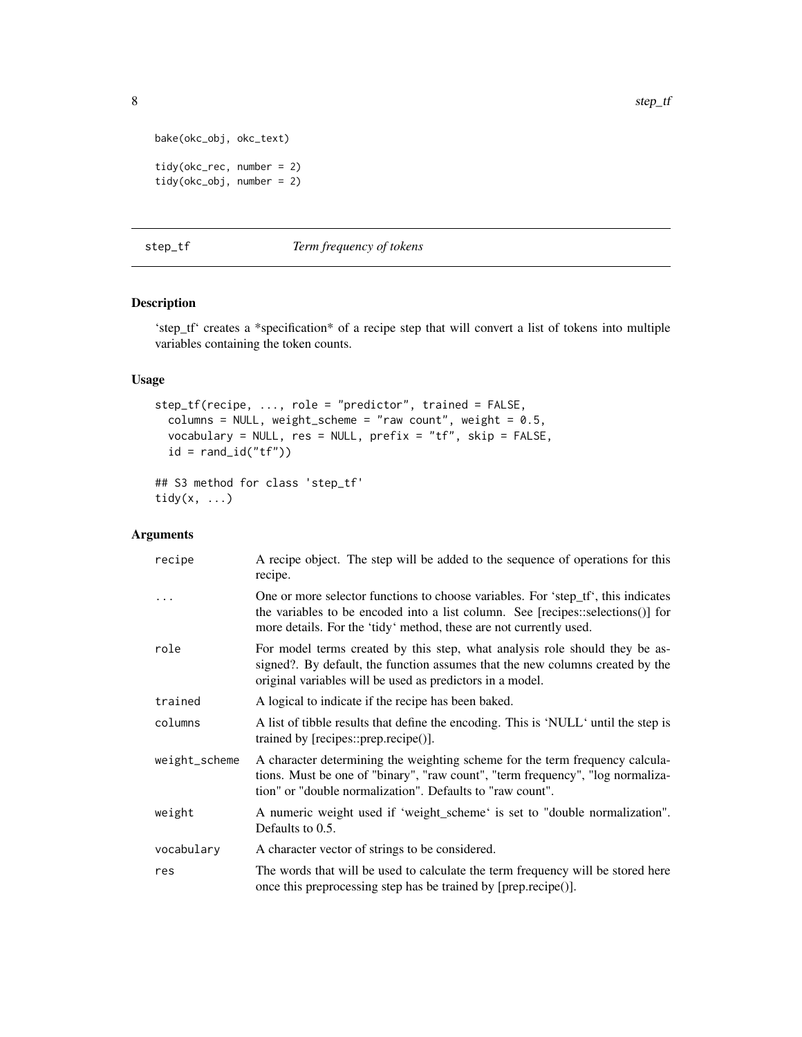```
bake(okc_obj, okc_text)
tidy(okc_rec, number = 2)
tidy(okc_obj, number = 2)
```
# step\_tf *Term frequency of tokens*

# Description

'step\_tf' creates a \*specification\* of a recipe step that will convert a list of tokens into multiple variables containing the token counts.

### Usage

```
step_tf(recipe, ..., role = "predictor", trained = FALSE,
 columns = NULL, weight_scheme = "raw count", weight = 0.5,
 vocabulary = NULL, res = NULL, prefix = "tf", skip = FALSE,
 id = rand_id("tf"))## S3 method for class 'step_tf'
```

```
tidy(x, \ldots)
```

| recipe        | A recipe object. The step will be added to the sequence of operations for this<br>recipe.                                                                                                                                                  |
|---------------|--------------------------------------------------------------------------------------------------------------------------------------------------------------------------------------------------------------------------------------------|
|               | One or more selector functions to choose variables. For 'step_tf', this indicates<br>the variables to be encoded into a list column. See [recipes::selections()] for<br>more details. For the 'tidy' method, these are not currently used. |
| role          | For model terms created by this step, what analysis role should they be as-<br>signed?. By default, the function assumes that the new columns created by the<br>original variables will be used as predictors in a model.                  |
| trained       | A logical to indicate if the recipe has been baked.                                                                                                                                                                                        |
| columns       | A list of tibble results that define the encoding. This is 'NULL' until the step is<br>trained by [recipes::prep.recipe()].                                                                                                                |
| weight_scheme | A character determining the weighting scheme for the term frequency calcula-<br>tions. Must be one of "binary", "raw count", "term frequency", "log normaliza-<br>tion" or "double normalization". Defaults to "raw count".                |
| weight        | A numeric weight used if 'weight_scheme' is set to "double normalization".<br>Defaults to 0.5.                                                                                                                                             |
| vocabulary    | A character vector of strings to be considered.                                                                                                                                                                                            |
| res           | The words that will be used to calculate the term frequency will be stored here<br>once this preprocessing step has be trained by [prep.recipe()].                                                                                         |

<span id="page-7-0"></span>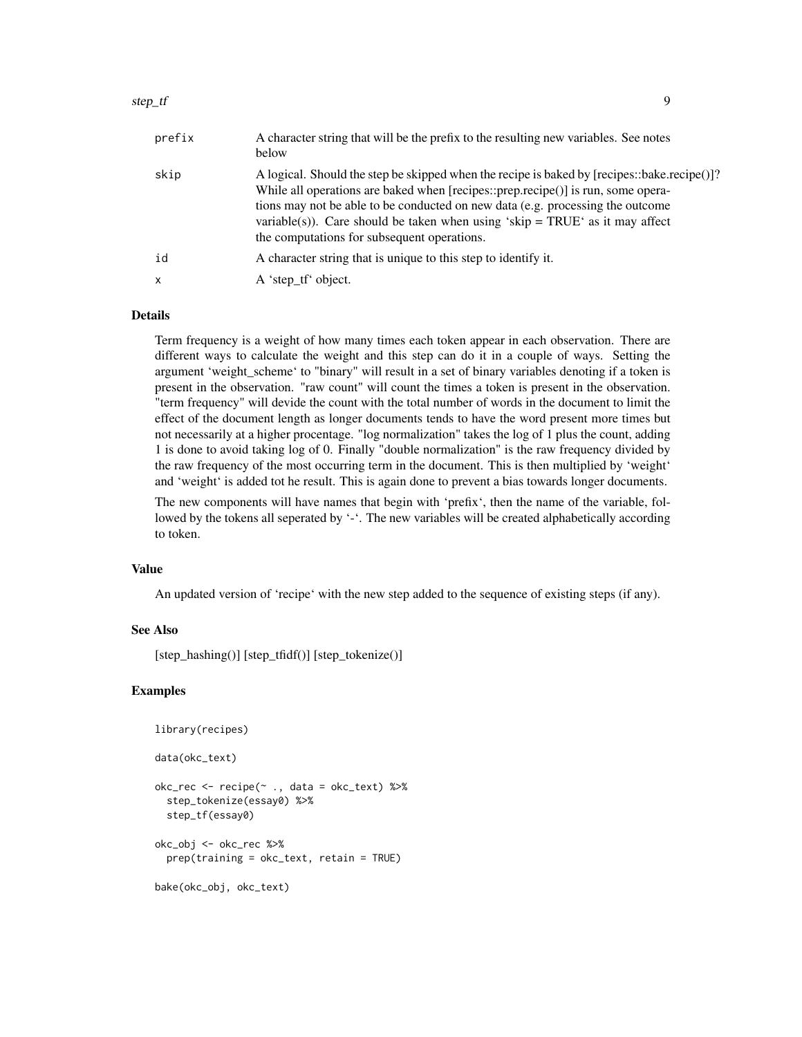#### step\_tf 9

| prefix | A character string that will be the prefix to the resulting new variables. See notes<br>below                                                                                                                                                                                                                                                                                                      |
|--------|----------------------------------------------------------------------------------------------------------------------------------------------------------------------------------------------------------------------------------------------------------------------------------------------------------------------------------------------------------------------------------------------------|
| skip   | A logical. Should the step be skipped when the recipe is baked by [recipes::bake.recipe()]?<br>While all operations are baked when [recipes::prep.recipe()] is run, some opera-<br>tions may not be able to be conducted on new data (e.g. processing the outcome<br>variable(s)). Care should be taken when using 'skip = $TRUE'$ as it may affect<br>the computations for subsequent operations. |
| id     | A character string that is unique to this step to identify it.                                                                                                                                                                                                                                                                                                                                     |
| x      | A 'step_tf' object.                                                                                                                                                                                                                                                                                                                                                                                |

### Details

Term frequency is a weight of how many times each token appear in each observation. There are different ways to calculate the weight and this step can do it in a couple of ways. Setting the argument 'weight\_scheme' to "binary" will result in a set of binary variables denoting if a token is present in the observation. "raw count" will count the times a token is present in the observation. "term frequency" will devide the count with the total number of words in the document to limit the effect of the document length as longer documents tends to have the word present more times but not necessarily at a higher procentage. "log normalization" takes the log of 1 plus the count, adding 1 is done to avoid taking log of 0. Finally "double normalization" is the raw frequency divided by the raw frequency of the most occurring term in the document. This is then multiplied by 'weight' and 'weight' is added tot he result. This is again done to prevent a bias towards longer documents.

The new components will have names that begin with 'prefix', then the name of the variable, followed by the tokens all seperated by '-'. The new variables will be created alphabetically according to token.

#### Value

An updated version of 'recipe' with the new step added to the sequence of existing steps (if any).

#### See Also

[step\_hashing()] [step\_tfidf()] [step\_tokenize()]

```
library(recipes)
data(okc_text)
okc_rec <- recipe(~ ., data = okc_text) %>%
 step_tokenize(essay0) %>%
 step_tf(essay0)
okc_obj <- okc_rec %>%
 prep(training = okc_text, retain = TRUE)
bake(okc_obj, okc_text)
```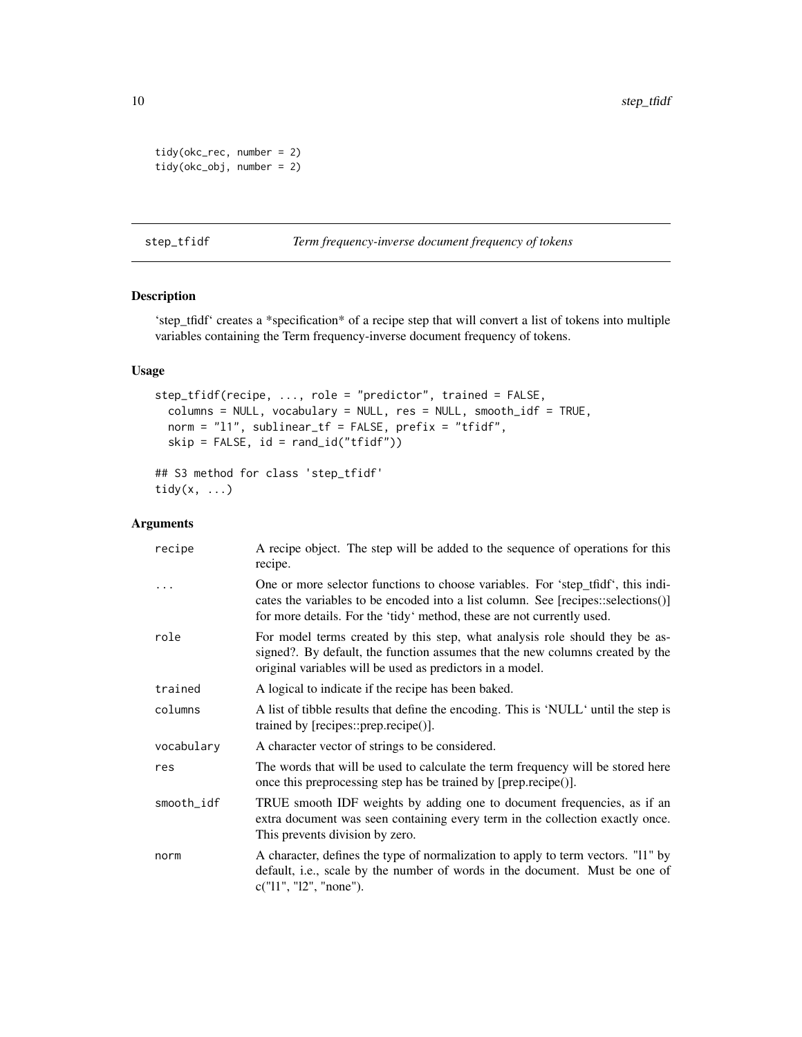```
tidy(okc_rec, number = 2)
tidy(okc_obj, number = 2)
```
step\_tfidf *Term frequency-inverse document frequency of tokens*

# Description

'step\_tfidf' creates a \*specification\* of a recipe step that will convert a list of tokens into multiple variables containing the Term frequency-inverse document frequency of tokens.

# Usage

```
step_tfidf(recipe, ..., role = "predictor", trained = FALSE,
  columns = NULL, vocabulary = NULL, res = NULL, smooth_idf = TRUE,
 norm = "l1", sublinear_tf = FALSE, prefix = "tfidf",
  skip = FALSE, id = rand_id("tfidf"))
## S3 method for class 'step_tfidf'
tidy(x, \ldots)
```

| recipe     | A recipe object. The step will be added to the sequence of operations for this<br>recipe.                                                                                                                                                       |
|------------|-------------------------------------------------------------------------------------------------------------------------------------------------------------------------------------------------------------------------------------------------|
|            | One or more selector functions to choose variables. For 'step tfidf', this indi-<br>cates the variables to be encoded into a list column. See [recipes::selections()]<br>for more details. For the 'tidy' method, these are not currently used. |
| role       | For model terms created by this step, what analysis role should they be as-<br>signed?. By default, the function assumes that the new columns created by the<br>original variables will be used as predictors in a model.                       |
| trained    | A logical to indicate if the recipe has been baked.                                                                                                                                                                                             |
| columns    | A list of tibble results that define the encoding. This is 'NULL' until the step is<br>trained by [recipes::prep.recipe()].                                                                                                                     |
| vocabulary | A character vector of strings to be considered.                                                                                                                                                                                                 |
| res        | The words that will be used to calculate the term frequency will be stored here<br>once this preprocessing step has be trained by [prep.recipe()].                                                                                              |
| smooth_idf | TRUE smooth IDF weights by adding one to document frequencies, as if an<br>extra document was seen containing every term in the collection exactly once.<br>This prevents division by zero.                                                     |
| norm       | A character, defines the type of normalization to apply to term vectors. "11" by<br>default, i.e., scale by the number of words in the document. Must be one of<br>c("11", "12", "none").                                                       |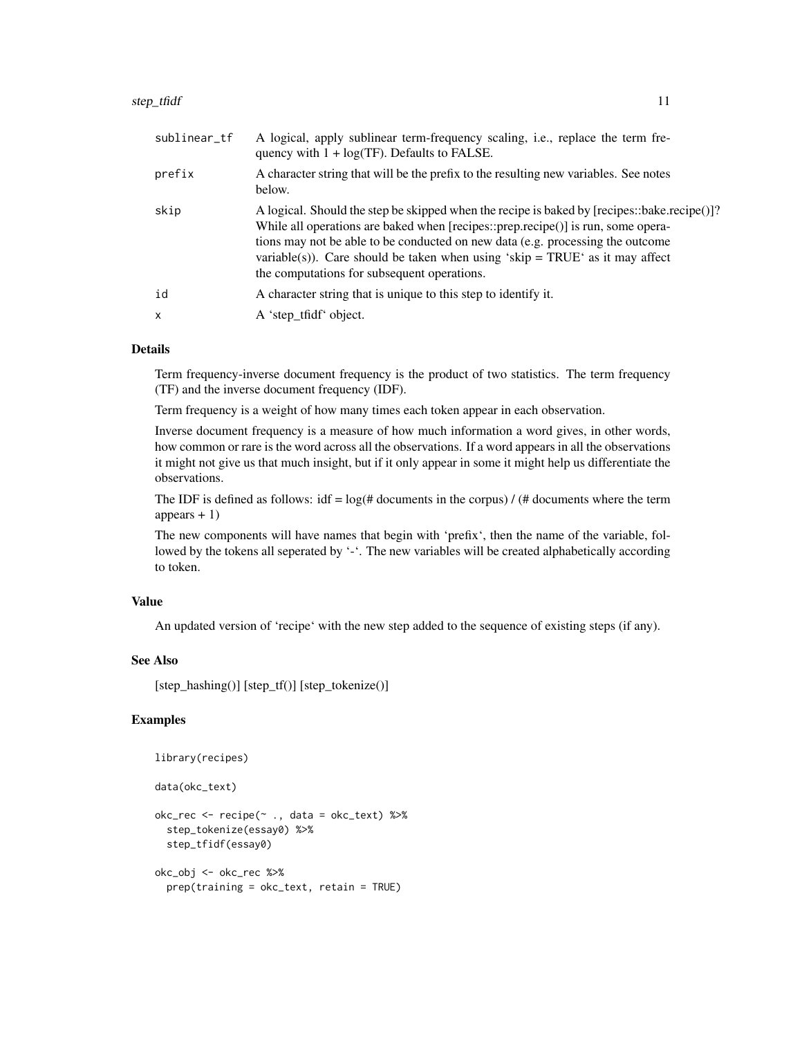| sublinear_tf | A logical, apply sublinear term-frequency scaling, i.e., replace the term fre-<br>quency with $1 + \log(TF)$ . Defaults to FALSE.                                                                                                                                                                                                                                                                  |
|--------------|----------------------------------------------------------------------------------------------------------------------------------------------------------------------------------------------------------------------------------------------------------------------------------------------------------------------------------------------------------------------------------------------------|
| prefix       | A character string that will be the prefix to the resulting new variables. See notes<br>below.                                                                                                                                                                                                                                                                                                     |
| skip         | A logical. Should the step be skipped when the recipe is baked by [recipes::bake.recipe()]?<br>While all operations are baked when [recipes::prep.recipe()] is run, some opera-<br>tions may not be able to be conducted on new data (e.g. processing the outcome<br>variable(s)). Care should be taken when using 'skip = $TRUE'$ as it may affect<br>the computations for subsequent operations. |
| id           | A character string that is unique to this step to identify it.                                                                                                                                                                                                                                                                                                                                     |
| $\mathsf{x}$ | A 'step_tfidf' object.                                                                                                                                                                                                                                                                                                                                                                             |
|              |                                                                                                                                                                                                                                                                                                                                                                                                    |

Term frequency-inverse document frequency is the product of two statistics. The term frequency (TF) and the inverse document frequency (IDF).

Term frequency is a weight of how many times each token appear in each observation.

Inverse document frequency is a measure of how much information a word gives, in other words, how common or rare is the word across all the observations. If a word appears in all the observations it might not give us that much insight, but if it only appear in some it might help us differentiate the observations.

The IDF is defined as follows:  $\text{idf} = \log(\text{# documents in the corpus}) / (\text{# documents where the term})$ appears  $+1$ )

The new components will have names that begin with 'prefix', then the name of the variable, followed by the tokens all seperated by '-'. The new variables will be created alphabetically according to token.

#### Value

An updated version of 'recipe' with the new step added to the sequence of existing steps (if any).

#### See Also

[step\_hashing()] [step\_tf()] [step\_tokenize()]

# Examples

```
library(recipes)
```

```
data(okc_text)
```

```
okc_rec <- recipe(~ ., data = okc_text) %>%
 step_tokenize(essay0) %>%
 step_tfidf(essay0)
okc_obj <- okc_rec %>%
```
prep(training = okc\_text, retain = TRUE)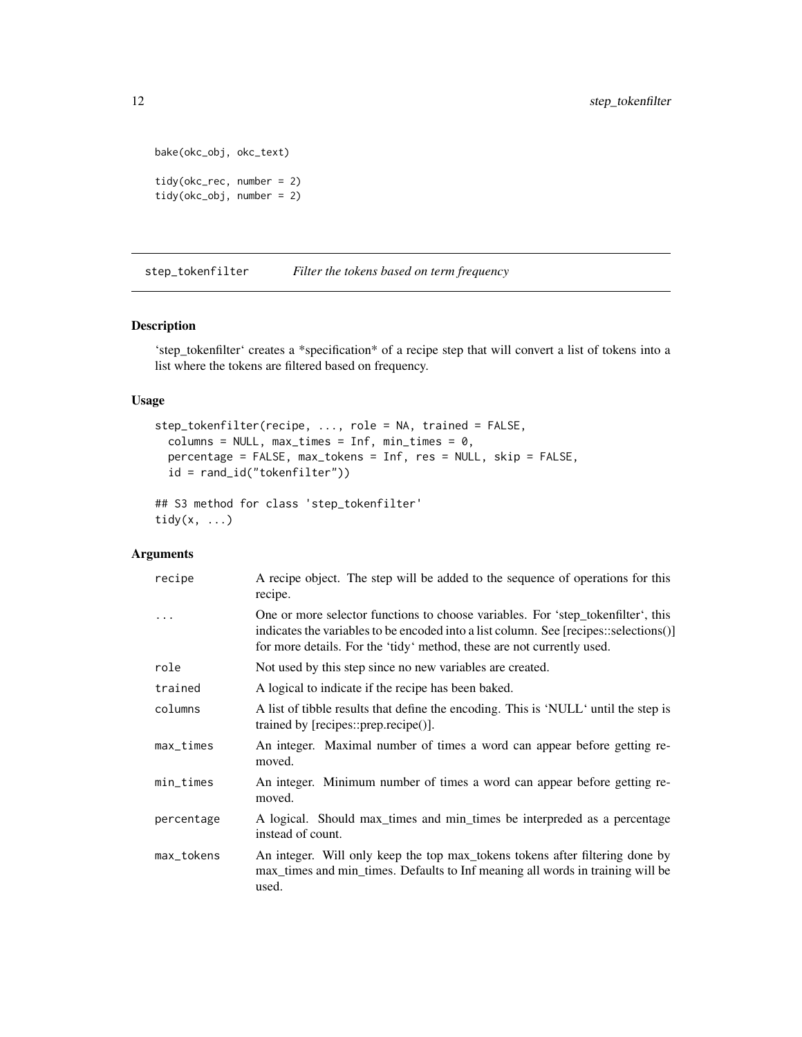```
bake(okc_obj, okc_text)
tidy(okc_rec, number = 2)
tidy(okc_obj, number = 2)
```
step\_tokenfilter *Filter the tokens based on term frequency*

### Description

'step\_tokenfilter' creates a \*specification\* of a recipe step that will convert a list of tokens into a list where the tokens are filtered based on frequency.

#### Usage

```
step_tokenfilter(recipe, ..., role = NA, trained = FALSE,
  columns = NULL, max_times = Inf, min_times = 0,
 percentage = FALSE, max_tokens = Inf, res = NULL, skip = FALSE,
  id = rand_id("tokenfilter"))
## S3 method for class 'step_tokenfilter'
tidy(x, \ldots)
```

| recipe      | A recipe object. The step will be added to the sequence of operations for this<br>recipe.                                                                                                                                                           |
|-------------|-----------------------------------------------------------------------------------------------------------------------------------------------------------------------------------------------------------------------------------------------------|
|             | One or more selector functions to choose variables. For 'step_tokenfilter', this<br>indicates the variables to be encoded into a list column. See [recipes::selections()]<br>for more details. For the 'tidy' method, these are not currently used. |
| role        | Not used by this step since no new variables are created.                                                                                                                                                                                           |
| trained     | A logical to indicate if the recipe has been baked.                                                                                                                                                                                                 |
| columns     | A list of tibble results that define the encoding. This is 'NULL' until the step is<br>trained by [recipes::prep.recipe()].                                                                                                                         |
| $max_times$ | An integer. Maximal number of times a word can appear before getting re-<br>moved.                                                                                                                                                                  |
| min_times   | An integer. Minimum number of times a word can appear before getting re-<br>moved.                                                                                                                                                                  |
| percentage  | A logical. Should max_times and min_times be interpreded as a percentage<br>instead of count.                                                                                                                                                       |
| max_tokens  | An integer. Will only keep the top max_tokens tokens after filtering done by<br>max_times and min_times. Defaults to Inf meaning all words in training will be<br>used.                                                                             |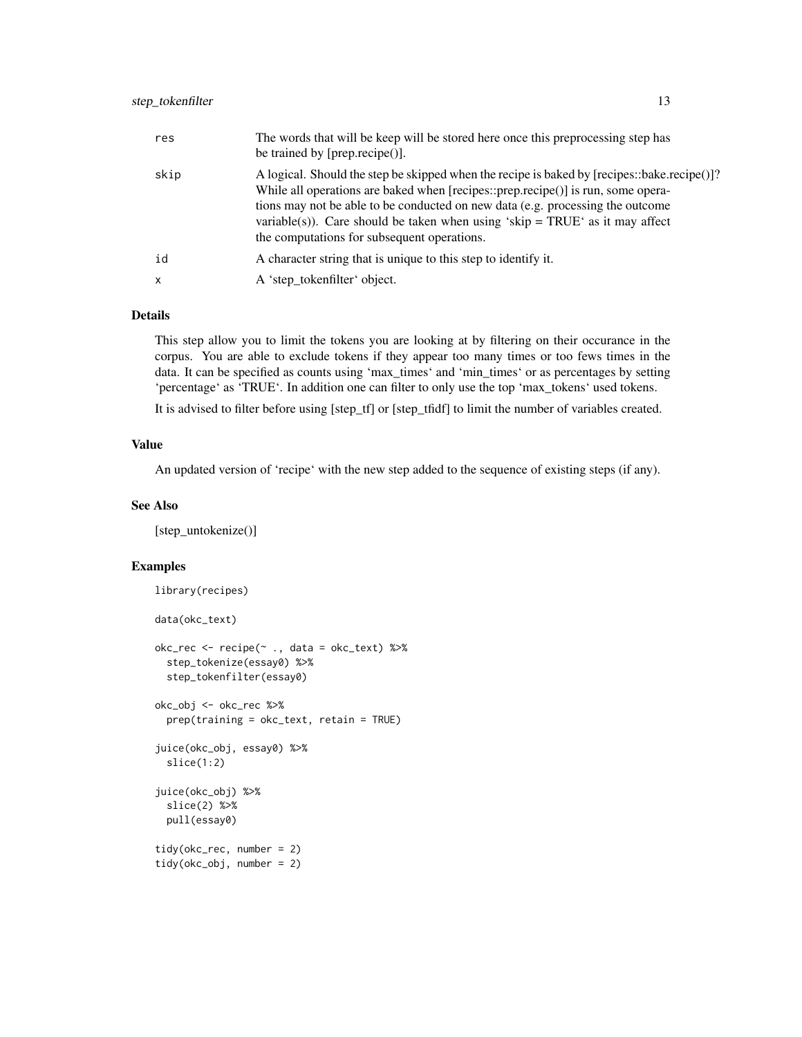| res          | The words that will be keep will be stored here once this preprocessing step has<br>be trained by $[prep\text{.}recipe()].$                                                                                                                                                                                                                                                                         |
|--------------|-----------------------------------------------------------------------------------------------------------------------------------------------------------------------------------------------------------------------------------------------------------------------------------------------------------------------------------------------------------------------------------------------------|
| skip         | A logical. Should the step be skipped when the recipe is baked by [recipes::bake.recipe()]?<br>While all operations are baked when [recipes::prep.recipe()] is run, some opera-<br>tions may not be able to be conducted on new data (e.g. processing the outcome<br>variable(s)). Care should be taken when using 'skip = $TRUE$ ' as it may affect<br>the computations for subsequent operations. |
| id           | A character string that is unique to this step to identify it.                                                                                                                                                                                                                                                                                                                                      |
| $\mathsf{x}$ | A 'step_tokenfilter' object.                                                                                                                                                                                                                                                                                                                                                                        |

This step allow you to limit the tokens you are looking at by filtering on their occurance in the corpus. You are able to exclude tokens if they appear too many times or too fews times in the data. It can be specified as counts using 'max\_times' and 'min\_times' or as percentages by setting 'percentage' as 'TRUE'. In addition one can filter to only use the top 'max\_tokens' used tokens.

It is advised to filter before using [step\_tf] or [step\_tfidf] to limit the number of variables created.

#### Value

An updated version of 'recipe' with the new step added to the sequence of existing steps (if any).

# See Also

[step\_untokenize()]

```
library(recipes)
data(okc_text)
okc_rec <- recipe(~ ., data = okc_text) %>%
 step_tokenize(essay0) %>%
 step_tokenfilter(essay0)
okc_obj <- okc_rec %>%
 prep(training = okc_text, retain = TRUE)
juice(okc_obj, essay0) %>%
 slice(1:2)
juice(okc_obj) %>%
 slice(2) %>%
 pull(essay0)
tidy(okc_rec, number = 2)
tidy(okc_obj, number = 2)
```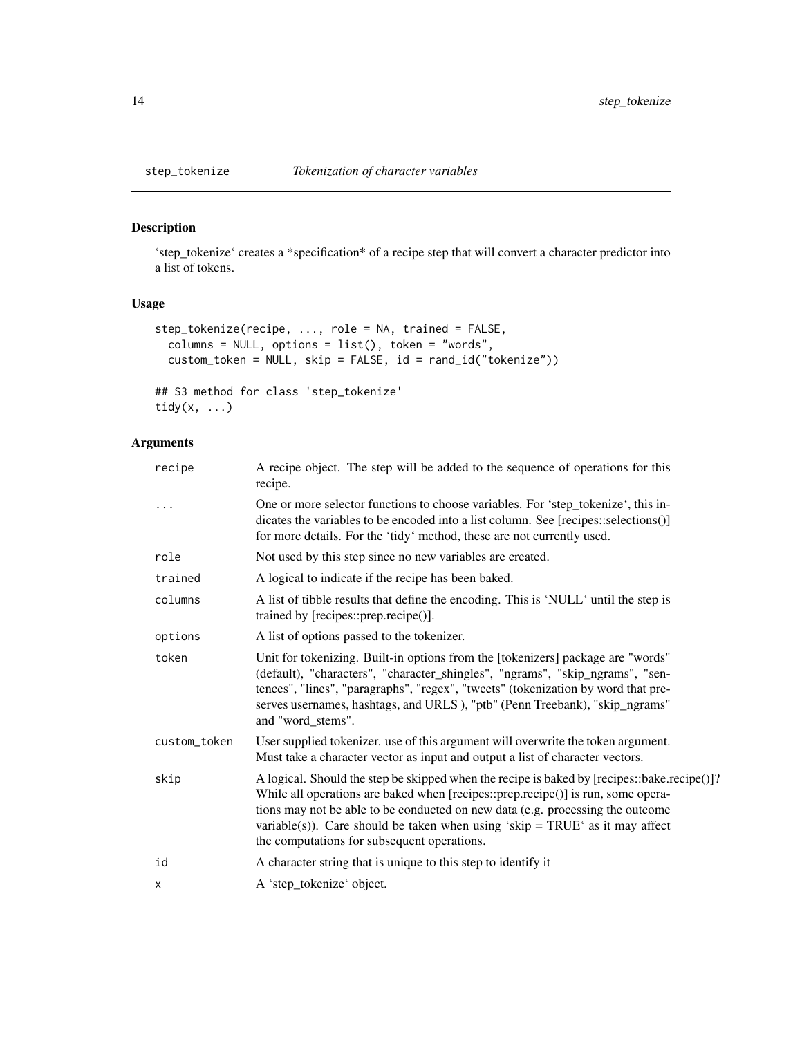# Description

'step\_tokenize' creates a \*specification\* of a recipe step that will convert a character predictor into a list of tokens.

# Usage

```
step_tokenize(recipe, ..., role = NA, trained = FALSE,
 columns = NULL, options = list(), token = "words",
 custom_token = NULL, skip = FALSE, id = rand_id("tokenize"))
```
## S3 method for class 'step\_tokenize' tidy(x, ...)

| recipe       | A recipe object. The step will be added to the sequence of operations for this<br>recipe.                                                                                                                                                                                                                                                                                                           |
|--------------|-----------------------------------------------------------------------------------------------------------------------------------------------------------------------------------------------------------------------------------------------------------------------------------------------------------------------------------------------------------------------------------------------------|
|              | One or more selector functions to choose variables. For 'step_tokenize', this in-<br>dicates the variables to be encoded into a list column. See [recipes::selections()]<br>for more details. For the 'tidy' method, these are not currently used.                                                                                                                                                  |
| role         | Not used by this step since no new variables are created.                                                                                                                                                                                                                                                                                                                                           |
| trained      | A logical to indicate if the recipe has been baked.                                                                                                                                                                                                                                                                                                                                                 |
| columns      | A list of tibble results that define the encoding. This is 'NULL' until the step is<br>trained by [recipes::prep.recipe()].                                                                                                                                                                                                                                                                         |
| options      | A list of options passed to the tokenizer.                                                                                                                                                                                                                                                                                                                                                          |
| token        | Unit for tokenizing. Built-in options from the [tokenizers] package are "words"<br>(default), "characters", "character_shingles", "ngrams", "skip_ngrams", "sen-<br>tences", "lines", "paragraphs", "regex", "tweets" (tokenization by word that pre-<br>serves usernames, hashtags, and URLS), "ptb" (Penn Treebank), "skip_ngrams"<br>and "word stems".                                           |
| custom_token | User supplied tokenizer, use of this argument will overwrite the token argument.<br>Must take a character vector as input and output a list of character vectors.                                                                                                                                                                                                                                   |
| skip         | A logical. Should the step be skipped when the recipe is baked by [recipes::bake.recipe()]?<br>While all operations are baked when [recipes::prep.recipe()] is run, some opera-<br>tions may not be able to be conducted on new data (e.g. processing the outcome<br>variable(s)). Care should be taken when using 'skip = $TRUE$ ' as it may affect<br>the computations for subsequent operations. |
| id           | A character string that is unique to this step to identify it                                                                                                                                                                                                                                                                                                                                       |
| x            | A 'step_tokenize' object.                                                                                                                                                                                                                                                                                                                                                                           |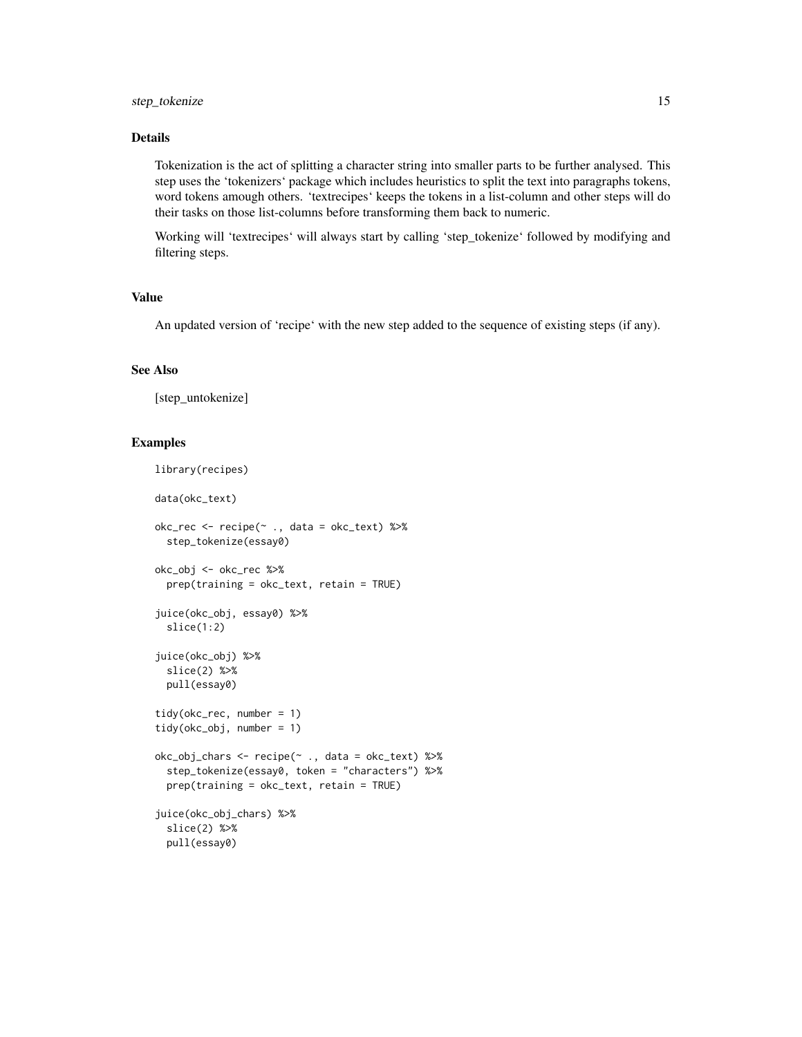Tokenization is the act of splitting a character string into smaller parts to be further analysed. This step uses the 'tokenizers' package which includes heuristics to split the text into paragraphs tokens, word tokens amough others. 'textrecipes' keeps the tokens in a list-column and other steps will do their tasks on those list-columns before transforming them back to numeric.

Working will 'textrecipes' will always start by calling 'step\_tokenize' followed by modifying and filtering steps.

#### Value

An updated version of 'recipe' with the new step added to the sequence of existing steps (if any).

#### See Also

[step\_untokenize]

```
library(recipes)
data(okc_text)
okc_{rec} < - recipe(~ ., data = okc_{text}) %>%
  step_tokenize(essay0)
okc_obj <- okc_rec %>%
  prep(training = okc_text, retain = TRUE)
juice(okc_obj, essay0) %>%
  slice(1:2)
juice(okc_obj) %>%
  slice(2) %>%
  pull(essay0)
tidy(okc_rec, number = 1)
tidy(okc_obj, number = 1)
okc_obj_chars <- recipe(~ ., data = okc_text) %>%
  step_tokenize(essay0, token = "characters") %>%
  prep(training = okc_text, retain = TRUE)
juice(okc_obj_chars) %>%
  slice(2) %>%
  pull(essay0)
```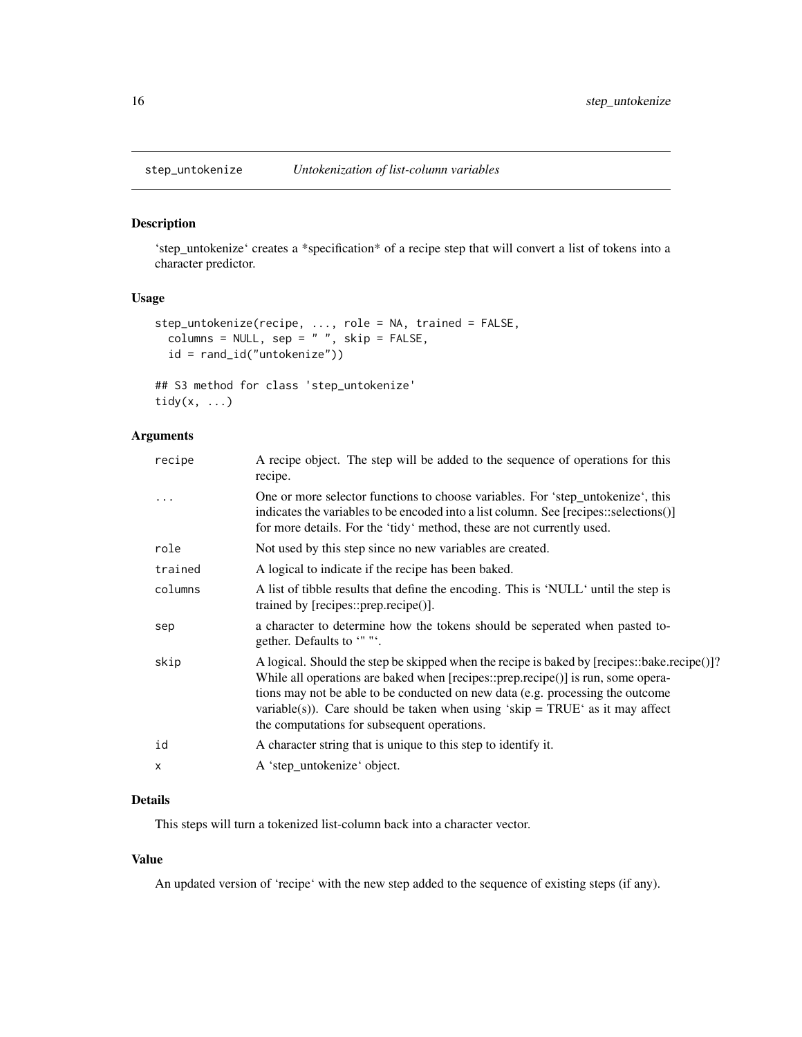<span id="page-15-0"></span>

#### Description

'step\_untokenize' creates a \*specification\* of a recipe step that will convert a list of tokens into a character predictor.

# Usage

```
step_untokenize(recipe, ..., role = NA, trained = FALSE,
  columns = NULL, sep = " ", skip = FALSE,
 id = rand_id("untokenize"))
```

```
## S3 method for class 'step_untokenize'
tidy(x, ...)
```
# Arguments

| recipe     | A recipe object. The step will be added to the sequence of operations for this<br>recipe.                                                                                                                                                                                                                                                                                                          |
|------------|----------------------------------------------------------------------------------------------------------------------------------------------------------------------------------------------------------------------------------------------------------------------------------------------------------------------------------------------------------------------------------------------------|
| $\ddots$ . | One or more selector functions to choose variables. For 'step_untokenize', this<br>indicates the variables to be encoded into a list column. See [recipes::selections()]<br>for more details. For the 'tidy' method, these are not currently used.                                                                                                                                                 |
| role       | Not used by this step since no new variables are created.                                                                                                                                                                                                                                                                                                                                          |
| trained    | A logical to indicate if the recipe has been baked.                                                                                                                                                                                                                                                                                                                                                |
| columns    | A list of tibble results that define the encoding. This is 'NULL' until the step is<br>trained by [recipes::prep.recipe()].                                                                                                                                                                                                                                                                        |
| sep        | a character to determine how the tokens should be seperated when pasted to-<br>gether. Defaults to """.                                                                                                                                                                                                                                                                                            |
| skip       | A logical. Should the step be skipped when the recipe is baked by [recipes::bake.recipe()]?<br>While all operations are baked when [recipes::prep.recipe()] is run, some opera-<br>tions may not be able to be conducted on new data (e.g. processing the outcome<br>variable(s)). Care should be taken when using 'skip = $TRUE'$ as it may affect<br>the computations for subsequent operations. |
| id         | A character string that is unique to this step to identify it.                                                                                                                                                                                                                                                                                                                                     |
| X          | A 'step_untokenize' object.                                                                                                                                                                                                                                                                                                                                                                        |
|            |                                                                                                                                                                                                                                                                                                                                                                                                    |

# Details

This steps will turn a tokenized list-column back into a character vector.

# Value

An updated version of 'recipe' with the new step added to the sequence of existing steps (if any).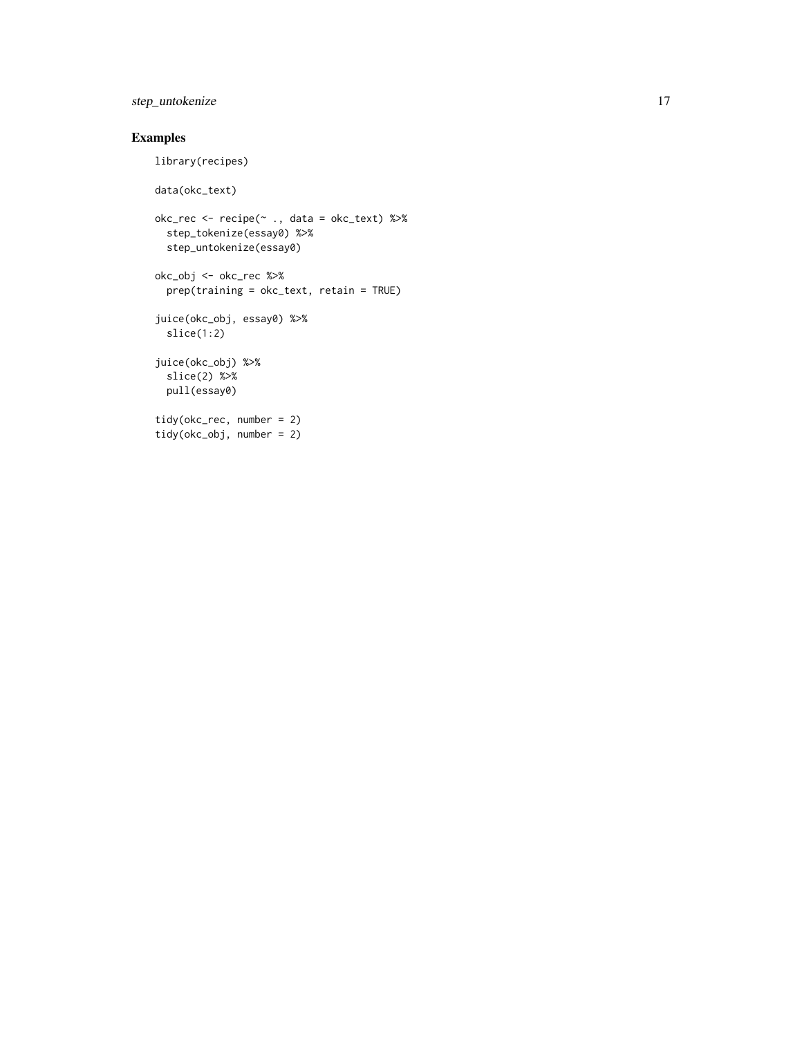# step\_untokenize 17

# Examples

library(recipes)

```
data(okc_text)
okc_rec <- recipe(~ ., data = okc_text) %>%
  step_tokenize(essay0) %>%
  step_untokenize(essay0)
okc_obj <- okc_rec %>%
  prep(training = okc_text, retain = TRUE)
juice(okc_obj, essay0) %>%
  slice(1:2)
juice(okc_obj) %>%
  slice(2) %>%
  pull(essay0)
tidy(okc_rec, number = 2)
tidy(okc_obj, number = 2)
```